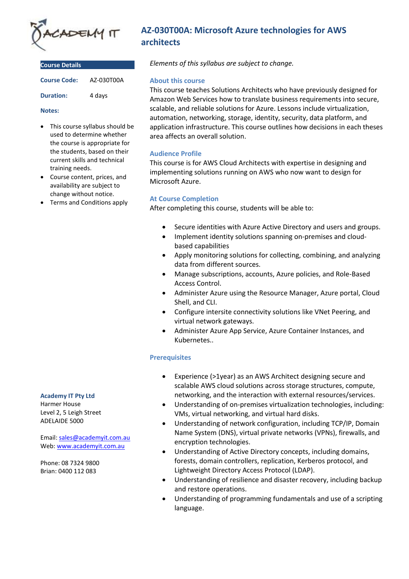

| <b>Course Details</b> |            |
|-----------------------|------------|
| <b>Course Code:</b>   | AZ-030T00A |
| <b>Duration:</b>      | 4 days     |

#### **Notes:**

- This course syllabus should be used to determine whether the course is appropriate for the students, based on their current skills and technical training needs.
- Course content, prices, and availability are subject to change without notice.
- Terms and Conditions apply

## **AZ-030T00A: Microsoft Azure technologies for AWS architects**

*Elements of this syllabus are subject to change.*

## **About this course**

This course teaches Solutions Architects who have previously designed for Amazon Web Services how to translate business requirements into secure, scalable, and reliable solutions for Azure. Lessons include virtualization, automation, networking, storage, identity, security, data platform, and application infrastructure. This course outlines how decisions in each theses area affects an overall solution.

## **Audience Profile**

This course is for AWS Cloud Architects with expertise in designing and implementing solutions running on AWS who now want to design for Microsoft Azure.

## **At Course Completion**

After completing this course, students will be able to:

- Secure identities with Azure Active Directory and users and groups.
- Implement identity solutions spanning on-premises and cloudbased capabilities
- Apply monitoring solutions for collecting, combining, and analyzing data from different sources.
- Manage subscriptions, accounts, Azure policies, and Role-Based Access Control.
- Administer Azure using the Resource Manager, Azure portal, Cloud Shell, and CLI.
- Configure intersite connectivity solutions like VNet Peering, and virtual network gateways.
- Administer Azure App Service, Azure Container Instances, and Kubernetes..

## **Prerequisites**

- Experience (>1year) as an AWS Architect designing secure and scalable AWS cloud solutions across storage structures, compute, networking, and the interaction with external resources/services.
- Understanding of on-premises virtualization technologies, including: VMs, virtual networking, and virtual hard disks.
- Understanding of network configuration, including TCP/IP, Domain Name System (DNS), virtual private networks (VPNs), firewalls, and encryption technologies.
- Understanding of Active Directory concepts, including domains, forests, domain controllers, replication, Kerberos protocol, and Lightweight Directory Access Protocol (LDAP).
- Understanding of resilience and disaster recovery, including backup and restore operations.
- Understanding of programming fundamentals and use of a scripting language.

#### **Academy IT Pty Ltd**

Harmer House Level 2, 5 Leigh Street ADELAIDE 5000

Email: [sales@academyit.com.au](mailto:sales@academyit.com.au) Web: [www.academyit.com.au](http://www.academyit.com.au/)

Phone: 08 7324 9800 Brian: 0400 112 083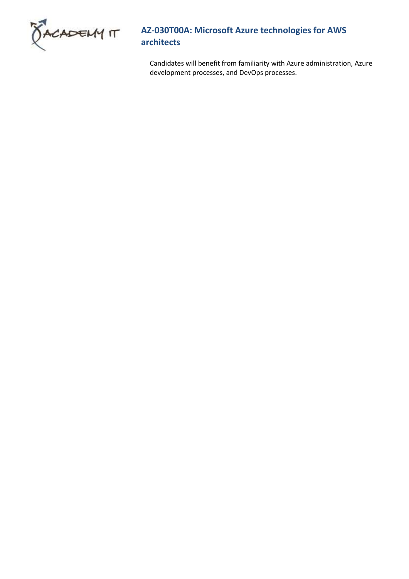

# **AZ-030T00A: Microsoft Azure technologies for AWS architects**

Candidates will benefit from familiarity with Azure administration, Azure development processes, and DevOps processes.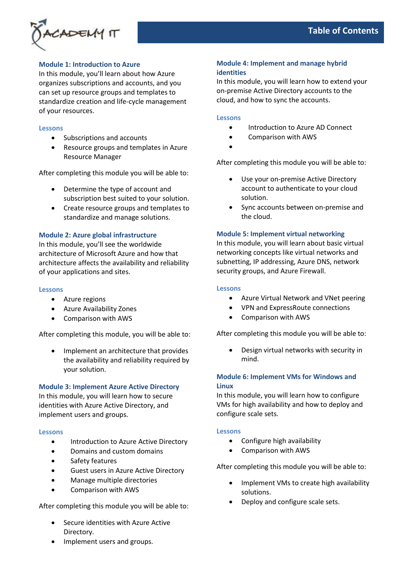

## **Module 1: Introduction to Azure**

In this module, you'll learn about how Azure organizes subscriptions and accounts, and you can set up resource groups and templates to standardize creation and life-cycle management of your resources.

#### **Lessons**

- Subscriptions and accounts
- Resource groups and templates in Azure Resource Manager

After completing this module you will be able to:

- Determine the type of account and subscription best suited to your solution.
- Create resource groups and templates to standardize and manage solutions.

## **Module 2: Azure global infrastructure**

In this module, you'll see the worldwide architecture of Microsoft Azure and how that architecture affects the availability and reliability of your applications and sites.

#### **Lessons**

- Azure regions
- Azure Availability Zones
- Comparison with AWS

After completing this module, you will be able to:

• Implement an architecture that provides the availability and reliability required by your solution.

## **Module 3: Implement Azure Active Directory**

In this module, you will learn how to secure identities with Azure Active Directory, and implement users and groups.

## **Lessons**

- Introduction to Azure Active Directory
- Domains and custom domains
- Safety features
- Guest users in Azure Active Directory
- Manage multiple directories
- Comparison with AWS

After completing this module you will be able to:

- Secure identities with Azure Active Directory.
- Implement users and groups.

## **Module 4: Implement and manage hybrid identities**

In this module, you will learn how to extend your on-premise Active Directory accounts to the cloud, and how to sync the accounts.

#### **Lessons**

- Introduction to Azure AD Connect
- Comparison with AWS
- •

After completing this module you will be able to:

- Use your on-premise Active Directory account to authenticate to your cloud solution.
- Sync accounts between on-premise and the cloud.

#### **Module 5: Implement virtual networking**

In this module, you will learn about basic virtual networking concepts like virtual networks and subnetting, IP addressing, Azure DNS, network security groups, and Azure Firewall.

#### **Lessons**

- Azure Virtual Network and VNet peering
- VPN and ExpressRoute connections
- Comparison with AWS

After completing this module you will be able to:

• Design virtual networks with security in mind.

## **Module 6: Implement VMs for Windows and Linux**

In this module, you will learn how to configure VMs for high availability and how to deploy and configure scale sets.

## **Lessons**

- Configure high availability
- Comparison with AWS

After completing this module you will be able to:

- Implement VMs to create high availability solutions.
- Deploy and configure scale sets.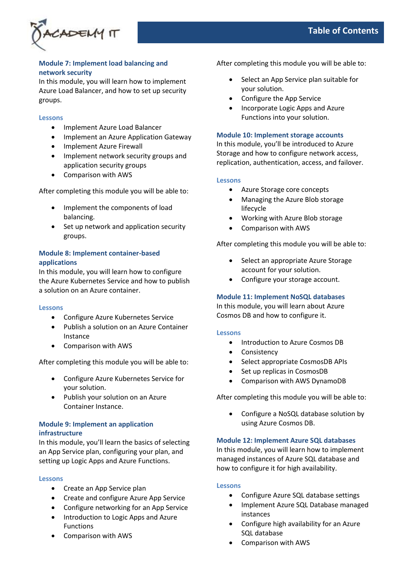

## **Module 7: Implement load balancing and network security**

In this module, you will learn how to implement Azure Load Balancer, and how to set up security groups.

#### **Lessons**

- Implement Azure Load Balancer
- Implement an Azure Application Gateway
- Implement Azure Firewall
- Implement network security groups and application security groups
- Comparison with AWS

After completing this module you will be able to:

- Implement the components of load balancing.
- Set up network and application security groups.

## **Module 8: Implement container-based applications**

In this module, you will learn how to configure the Azure Kubernetes Service and how to publish a solution on an Azure container.

#### **Lessons**

- Configure Azure Kubernetes Service
- Publish a solution on an Azure Container Instance
- Comparison with AWS

After completing this module you will be able to:

- Configure Azure Kubernetes Service for your solution.
- Publish your solution on an Azure Container Instance.

## **Module 9: Implement an application infrastructure**

In this module, you'll learn the basics of selecting an App Service plan, configuring your plan, and setting up Logic Apps and Azure Functions.

#### **Lessons**

- Create an App Service plan
- Create and configure Azure App Service
- Configure networking for an App Service
- Introduction to Logic Apps and Azure Functions
- Comparison with AWS

After completing this module you will be able to:

- Select an App Service plan suitable for your solution.
- Configure the App Service
- Incorporate Logic Apps and Azure Functions into your solution.

## **Module 10: Implement storage accounts**

In this module, you'll be introduced to Azure Storage and how to configure network access, replication, authentication, access, and failover.

#### **Lessons**

- Azure Storage core concepts
- Managing the Azure Blob storage lifecycle
- Working with Azure Blob storage
- Comparison with AWS

After completing this module you will be able to:

- Select an appropriate Azure Storage account for your solution.
- Configure your storage account.

## **Module 11: Implement NoSQL databases**

In this module, you will learn about Azure Cosmos DB and how to configure it.

#### **Lessons**

- Introduction to Azure Cosmos DB
- Consistency
- Select appropriate CosmosDB APIs
- Set up replicas in CosmosDB
- Comparison with AWS DynamoDB

After completing this module you will be able to:

• Configure a NoSQL database solution by using Azure Cosmos DB.

#### **Module 12: Implement Azure SQL databases**

In this module, you will learn how to implement managed instances of Azure SQL database and how to configure it for high availability.

#### **Lessons**

- Configure Azure SQL database settings
- Implement Azure SQL Database managed instances
- Configure high availability for an Azure SQL database
- Comparison with AWS